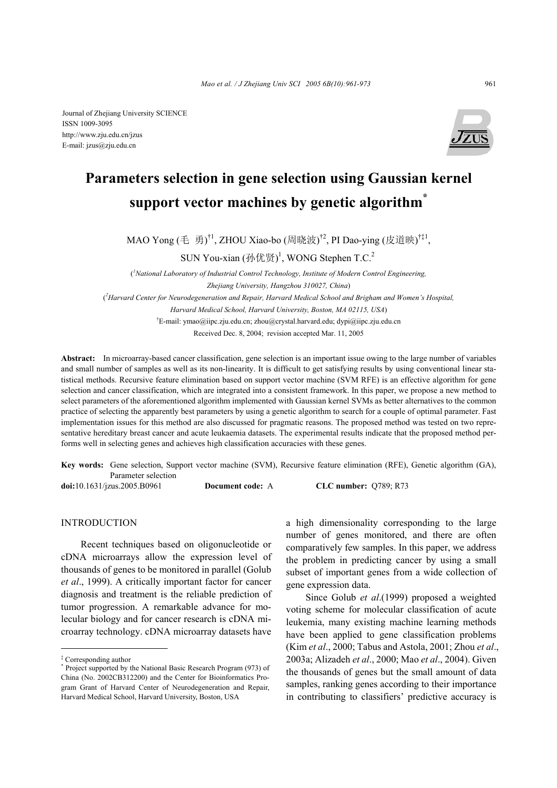

# **Parameters selection in gene selection using Gaussian kernel support vector machines by genetic algorithm\***

MAO Yong (毛 勇)<sup>†1</sup>, ZHOU Xiao-bo (周晓波)<sup>†2</sup>, PI Dao-ying (皮道映)<sup>†‡1</sup>,

SUN You-xian  $(\text{hft} \mathbb{F})^1$ , WONG Stephen T.C.<sup>2</sup>

( *1 National Laboratory of Industrial Control Technology, Institute of Modern Control Engineering, Zhejiang University, Hangzhou 310027, China*) ( *2 Harvard Center for Neurodegeneration and Repair, Harvard Medical School and Brigham and Women's Hospital, Harvard Medical School, Harvard University, Boston, MA 02115, USA*) † E-mail: ymao@iipc.zju.edu.cn; zhou@crystal.harvard.edu; dypi@iipc.zju.edu.cn Received Dec. 8, 2004; revision accepted Mar. 11, 2005

**Abstract:** In microarray-based cancer classification, gene selection is an important issue owing to the large number of variables and small number of samples as well as its non-linearity. It is difficult to get satisfying results by using conventional linear statistical methods. Recursive feature elimination based on support vector machine (SVM RFE) is an effective algorithm for gene selection and cancer classification, which are integrated into a consistent framework. In this paper, we propose a new method to select parameters of the aforementioned algorithm implemented with Gaussian kernel SVMs as better alternatives to the common practice of selecting the apparently best parameters by using a genetic algorithm to search for a couple of optimal parameter. Fast implementation issues for this method are also discussed for pragmatic reasons. The proposed method was tested on two representative hereditary breast cancer and acute leukaemia datasets. The experimental results indicate that the proposed method performs well in selecting genes and achieves high classification accuracies with these genes.

**Key words:** Gene selection, Support vector machine (SVM), Recursive feature elimination (RFE), Genetic algorithm (GA), Parameter selection

**doi:**10.1631/jzus.2005.B0961 **Document code:** A **CLC number:** Q789; R73

## INTRODUCTION

Recent techniques based on oligonucleotide or cDNA microarrays allow the expression level of thousands of genes to be monitored in parallel (Golub *et al*., 1999). A critically important factor for cancer diagnosis and treatment is the reliable prediction of tumor progression. A remarkable advance for molecular biology and for cancer research is cDNA microarray technology. cDNA microarray datasets have

a high dimensionality corresponding to the large number of genes monitored, and there are often comparatively few samples. In this paper, we address the problem in predicting cancer by using a small subset of important genes from a wide collection of gene expression data.

Since Golub *et al*.(1999) proposed a weighted voting scheme for molecular classification of acute leukemia, many existing machine learning methods have been applied to gene classification problems (Kim *et al*., 2000; Tabus and Astola, 2001; Zhou *et al*., 2003a; Alizadeh *et al*., 2000; Mao *et al*., 2004). Given the thousands of genes but the small amount of data samples, ranking genes according to their importance in contributing to classifiers' predictive accuracy is

<sup>‡</sup> Corresponding author

<sup>\*</sup> Project supported by the National Basic Research Program (973) of China (No. 2002CB312200) and the Center for Bioinformatics Program Grant of Harvard Center of Neurodegeneration and Repair, Harvard Medical School, Harvard University, Boston, USA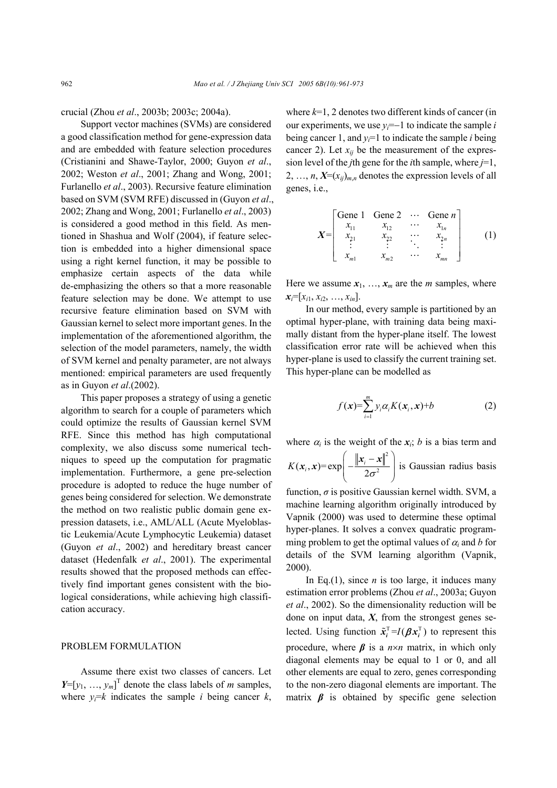crucial (Zhou *et al*., 2003b; 2003c; 2004a).

Support vector machines (SVMs) are considered a good classification method for gene-expression data and are embedded with feature selection procedures (Cristianini and Shawe-Taylor, 2000; Guyon *et al*., 2002; Weston *et al*., 2001; Zhang and Wong, 2001; Furlanello *et al*., 2003). Recursive feature elimination based on SVM (SVM RFE) discussed in (Guyon *et al*., 2002; Zhang and Wong, 2001; Furlanello *et al*., 2003) is considered a good method in this field. As mentioned in Shashua and Wolf (2004), if feature selection is embedded into a higher dimensional space using a right kernel function, it may be possible to emphasize certain aspects of the data while de-emphasizing the others so that a more reasonable feature selection may be done. We attempt to use recursive feature elimination based on SVM with Gaussian kernel to select more important genes. In the implementation of the aforementioned algorithm, the selection of the model parameters, namely, the width of SVM kernel and penalty parameter, are not always mentioned: empirical parameters are used frequently as in Guyon *et al*.(2002).

This paper proposes a strategy of using a genetic algorithm to search for a couple of parameters which could optimize the results of Gaussian kernel SVM RFE. Since this method has high computational complexity, we also discuss some numerical techniques to speed up the computation for pragmatic implementation. Furthermore, a gene pre-selection procedure is adopted to reduce the huge number of genes being considered for selection. We demonstrate the method on two realistic public domain gene expression datasets, i.e., AML/ALL (Acute Myeloblastic Leukemia/Acute Lymphocytic Leukemia) dataset (Guyon *et al*., 2002) and hereditary breast cancer dataset (Hedenfalk *et al*., 2001). The experimental results showed that the proposed methods can effectively find important genes consistent with the biological considerations, while achieving high classification accuracy.

## PROBLEM FORMULATION

Assume there exist two classes of cancers. Let  $Y=[y_1, ..., y_m]^T$  denote the class labels of *m* samples, where  $y_i = k$  indicates the sample *i* being cancer *k*,

where  $k=1$ , 2 denotes two different kinds of cancer (in our experiments, we use  $y_i = -1$  to indicate the sample *i* being cancer 1, and  $y_i=1$  to indicate the sample *i* being cancer 2). Let  $x_{ij}$  be the measurement of the expression level of the *j*th gene for the *i*th sample, where *j*=1, 2, ...,  $n, X=(x_{ij})_{m,n}$  denotes the expression levels of all genes, i.e.,

$$
X = \begin{bmatrix} \text{Gene } 1 & \text{Gene } 2 & \cdots & \text{Gene } n \\ x_{11} & x_{12} & \cdots & x_{1n} \\ x_{21} & x_{22} & \cdots & x_{2n} \\ \vdots & \vdots & \ddots & \vdots \\ x_{m1} & x_{m2} & \cdots & x_{mn} \end{bmatrix} \tag{1}
$$

Here we assume  $x_1, \ldots, x_m$  are the *m* samples, where  $x_i = [x_{i1}, x_{i2}, \ldots, x_{in}].$ 

In our method, every sample is partitioned by an optimal hyper-plane, with training data being maximally distant from the hyper-plane itself. The lowest classification error rate will be achieved when this hyper-plane is used to classify the current training set. This hyper-plane can be modelled as

$$
f(\mathbf{x}) = \sum_{i=1}^{m} y_i \alpha_i K(\mathbf{x}_i, \mathbf{x}) + b \tag{2}
$$

where  $\alpha_i$  is the weight of the  $x_i$ ; *b* is a bias term and

$$
K(\mathbf{x}_i, \mathbf{x}) = \exp\left(-\frac{\|\mathbf{x}_i - \mathbf{x}\|^2}{2\sigma^2}\right)
$$
 is Gaussian radius basis

function, *σ* is positive Gaussian kernel width. SVM, a machine learning algorithm originally introduced by Vapnik (2000) was used to determine these optimal hyper-planes. It solves a convex quadratic programming problem to get the optimal values of  $\alpha_i$  and *b* for details of the SVM learning algorithm (Vapnik, 2000).

In Eq.(1), since  $n$  is too large, it induces many estimation error problems (Zhou *et al*., 2003a; Guyon *et al*., 2002). So the dimensionality reduction will be done on input data, *X*, from the strongest genes selected. Using function  $\tilde{x}_i^T = I(\boldsymbol{\beta} x_i^T)$  to represent this procedure, where  $\beta$  is a  $n \times n$  matrix, in which only diagonal elements may be equal to 1 or 0, and all other elements are equal to zero, genes corresponding to the non-zero diagonal elements are important. The matrix  $\beta$  is obtained by specific gene selection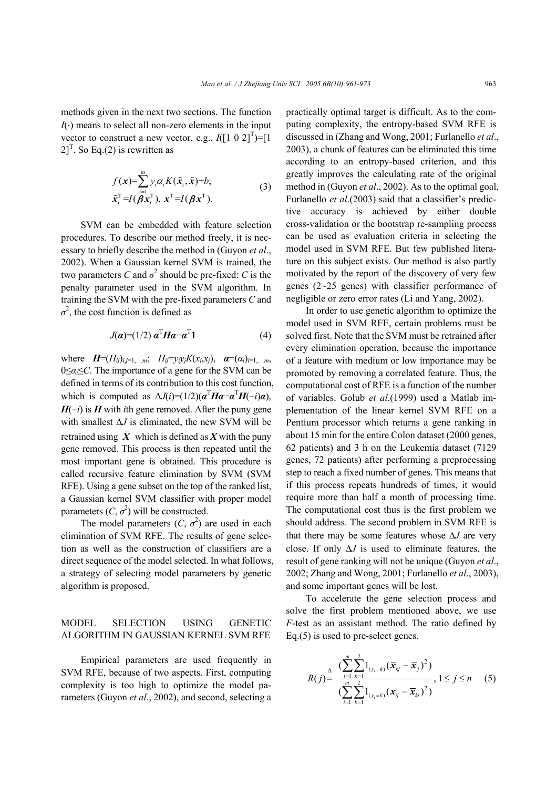methods given in the next two sections. The function  *means to select all non-zero elements in the input* vector to construct a new vector, e.g.,  $I([1 \ 0 \ 2]^T)$ =[1]  $2]^{T}$ . So Eq.(2) is rewritten as

$$
f(\mathbf{x}) = \sum_{i=1}^{m} y_i \alpha_i K(\tilde{\mathbf{x}}_i, \tilde{\mathbf{x}}) + b; \tilde{\mathbf{x}}_i^{\mathrm{T}} = I(\boldsymbol{\beta} \mathbf{x}_i^{\mathrm{T}}), \mathbf{x}^{\mathrm{T}} = I(\boldsymbol{\beta} \mathbf{x}^{\mathrm{T}}).
$$
\n(3)

SVM can be embedded with feature selection procedures. To describe our method freely, it is necessary to briefly describe the method in (Guyon *et al*., 2002). When a Gaussian kernel SVM is trained, the two parameters *C* and  $\sigma^2$  should be pre-fixed: *C* is the penalty parameter used in the SVM algorithm. In training the SVM with the pre-fixed parameters *C* and  $\sigma^2$ , the cost function is defined as

$$
J(\boldsymbol{\alpha}) = (1/2) \, \boldsymbol{\alpha}^{\mathrm{T}} \boldsymbol{H} \boldsymbol{\alpha} - \boldsymbol{\alpha}^{\mathrm{T}} \boldsymbol{1} \tag{4}
$$

where  $H=(H_{ij})_{i,j=1,...,m}$ ;  $H_{ij}=y_jy_jK(x_i,x_j)$ ,  $\alpha=(\alpha_i)_{i=1,...,m}$ 0≤*αi*≤*C*. The importance of a gene for the SVM can be defined in terms of its contribution to this cost function, which is computed as  $\Delta J(i)=(1/2)(\mathbf{a}^{\mathrm{T}}\mathbf{H}\mathbf{a}-\mathbf{a}^{\mathrm{T}}\mathbf{H}(-i)\mathbf{a}),$ *H*(−*i*) is *H* with *i*th gene removed. After the puny gene with smallest ∆*J* is eliminated, the new SVM will be retrained using  $\hat{X}$  which is defined as *X* with the puny gene removed. This process is then repeated until the most important gene is obtained. This procedure is called recursive feature elimination by SVM (SVM RFE). Using a gene subset on the top of the ranked list, a Gaussian kernel SVM classifier with proper model parameters  $(C, \sigma^2)$  will be constructed.

The model parameters  $(C, \sigma^2)$  are used in each elimination of SVM RFE. The results of gene selection as well as the construction of classifiers are a direct sequence of the model selected. In what follows, a strategy of selecting model parameters by genetic algorithm is proposed.

# MODEL SELECTION USING GENETIC ALGORITHM IN GAUSSIAN KERNEL SVM RFE

Empirical parameters are used frequently in SVM RFE, because of two aspects. First, computing complexity is too high to optimize the model parameters (Guyon *et al*., 2002), and second, selecting a

practically optimal target is difficult. As to the computing complexity, the entropy-based SVM RFE is discussed in (Zhang and Wong, 2001; Furlanello *et al*., 2003), a chunk of features can be eliminated this time according to an entropy-based criterion, and this greatly improves the calculating rate of the original method in (Guyon *et al*., 2002). As to the optimal goal, Furlanello *et al*.(2003) said that a classifier's predictive accuracy is achieved by either double cross-validation or the bootstrap re-sampling process can be used as evaluation criteria in selecting the model used in SVM RFE. But few published literature on this subject exists. Our method is also partly motivated by the report of the discovery of very few genes (2~25 genes) with classifier performance of negligible or zero error rates (Li and Yang, 2002).

In order to use genetic algorithm to optimize the model used in SVM RFE, certain problems must be solved first. Note that the SVM must be retrained after every elimination operation, because the importance of a feature with medium or low importance may be promoted by removing a correlated feature. Thus, the computational cost of RFE is a function of the number of variables. Golub *et al*.(1999) used a Matlab implementation of the linear kernel SVM RFE on a Pentium processor which returns a gene ranking in about 15 min for the entire Colon dataset (2000 genes, 62 patients) and 3 h on the Leukemia dataset (7129 genes, 72 patients) after performing a preprocessing step to reach a fixed number of genes. This means that if this process repeats hundreds of times, it would require more than half a month of processing time. The computational cost thus is the first problem we should address. The second problem in SVM RFE is that there may be some features whose ∆*J* are very close. If only ∆*J* is used to eliminate features, the result of gene ranking will not be unique (Guyon *et al*., 2002; Zhang and Wong, 2001; Furlanello *et al*., 2003), and some important genes will be lost.

To accelerate the gene selection process and solve the first problem mentioned above, we use *F*-test as an assistant method. The ratio defined by Eq.(5) is used to pre-select genes.

$$
R(j) = \frac{\sum_{i=1}^{m} \sum_{k=1}^{2} 1_{(y_i=k)} (\overline{x}_{kj} - \overline{x}_j)^2)}{\sum_{i=1}^{m} \sum_{k=1}^{2} 1_{(y_i=k)} (\overline{x}_{ij} - \overline{x}_{kj})^2}, 1 \le j \le n \quad (5)
$$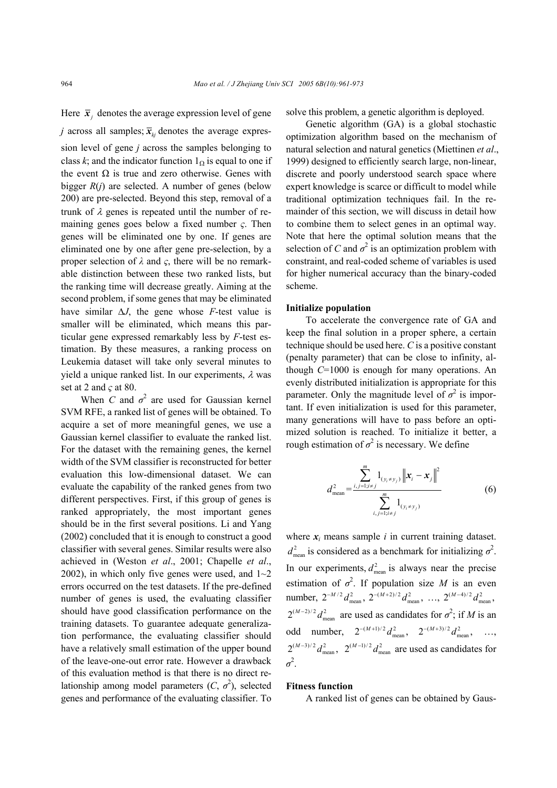Here  $\bar{x}_i$  denotes the average expression level of gene *j* across all samples;  $\overline{x}_{k}$  denotes the average expression level of gene *j* across the samples belonging to class *k*; and the indicator function  $1_{\Omega}$  is equal to one if the event  $\Omega$  is true and zero otherwise. Genes with bigger *R*(*j*) are selected. A number of genes (below 200) are pre-selected. Beyond this step, removal of a trunk of  $\lambda$  genes is repeated until the number of remaining genes goes below a fixed number *ς*. Then genes will be eliminated one by one. If genes are eliminated one by one after gene pre-selection, by a proper selection of *λ* and *ς*, there will be no remarkable distinction between these two ranked lists, but the ranking time will decrease greatly. Aiming at the second problem, if some genes that may be eliminated have similar  $\Delta J$ , the gene whose *F*-test value is smaller will be eliminated, which means this particular gene expressed remarkably less by *F*-test estimation. By these measures, a ranking process on Leukemia dataset will take only several minutes to yield a unique ranked list. In our experiments,  $\lambda$  was set at 2 and *ς* at 80.

When *C* and  $\sigma^2$  are used for Gaussian kernel SVM RFE, a ranked list of genes will be obtained. To acquire a set of more meaningful genes, we use a Gaussian kernel classifier to evaluate the ranked list. For the dataset with the remaining genes, the kernel width of the SVM classifier is reconstructed for better evaluation this low-dimensional dataset. We can evaluate the capability of the ranked genes from two different perspectives. First, if this group of genes is ranked appropriately, the most important genes should be in the first several positions. Li and Yang (2002) concluded that it is enough to construct a good classifier with several genes. Similar results were also achieved in (Weston *et al*., 2001; Chapelle *et al*., 2002), in which only five genes were used, and  $1~2$ errors occurred on the test datasets. If the pre-defined number of genes is used, the evaluating classifier should have good classification performance on the training datasets. To guarantee adequate generalization performance, the evaluating classifier should have a relatively small estimation of the upper bound of the leave-one-out error rate. However a drawback of this evaluation method is that there is no direct relationship among model parameters  $(C, \sigma^2)$ , selected genes and performance of the evaluating classifier. To

solve this problem, a genetic algorithm is deployed.

Genetic algorithm (GA) is a global stochastic optimization algorithm based on the mechanism of natural selection and natural genetics (Miettinen *et al*., 1999) designed to efficiently search large, non-linear, discrete and poorly understood search space where expert knowledge is scarce or difficult to model while traditional optimization techniques fail. In the remainder of this section, we will discuss in detail how to combine them to select genes in an optimal way. Note that here the optimal solution means that the selection of *C* and  $\sigma^2$  is an optimization problem with constraint, and real-coded scheme of variables is used for higher numerical accuracy than the binary-coded scheme.

#### **Initialize population**

To accelerate the convergence rate of GA and keep the final solution in a proper sphere, a certain technique should be used here. *C* is a positive constant (penalty parameter) that can be close to infinity, although *C*=1000 is enough for many operations. An evenly distributed initialization is appropriate for this parameter. Only the magnitude level of  $\sigma^2$  is important. If even initialization is used for this parameter, many generations will have to pass before an optimized solution is reached. To initialize it better, a rough estimation of  $\sigma^2$  is necessary. We define

$$
d_{\text{mean}}^2 = \frac{\sum_{i,j=1; i \neq j}^m 1_{(y_i \neq y_j)} \|x_i - x_j\|^2}{\sum_{i,j=1; i \neq j}^m 1_{(y_i \neq y_j)}}
$$
(6)

where  $x_i$  means sample  $i$  in current training dataset.  $d_{\text{mean}}^2$  is considered as a benchmark for initializing  $\sigma^2$ . In our experiments,  $d_{\text{mean}}^2$  is always near the precise estimation of  $\sigma^2$ . If population size *M* is an even number,  $2^{-M/2} d_{\text{mean}}^2$ ,  $2^{-(M+2)/2} d_{\text{mean}}^2$ , ...,  $2^{(M-4)/2} d_{\text{mean}}^2$ ,  $2^{(M-2)/2} d_{\text{mean}}^2$  are used as candidates for  $\sigma^2$ ; if *M* is an odd number,  $2^{-(M+1)/2} d_{\text{mean}}^2$ ,  $2^{-(M+3)/2} d_{\text{mean}}^2$ , ...,  $2^{(M-3)/2} d_{\text{mean}}^2$ ,  $2^{(M-1)/2} d_{\text{mean}}^2$  are used as candidates for  $\sigma^2$ .

#### **Fitness function**

A ranked list of genes can be obtained by Gaus-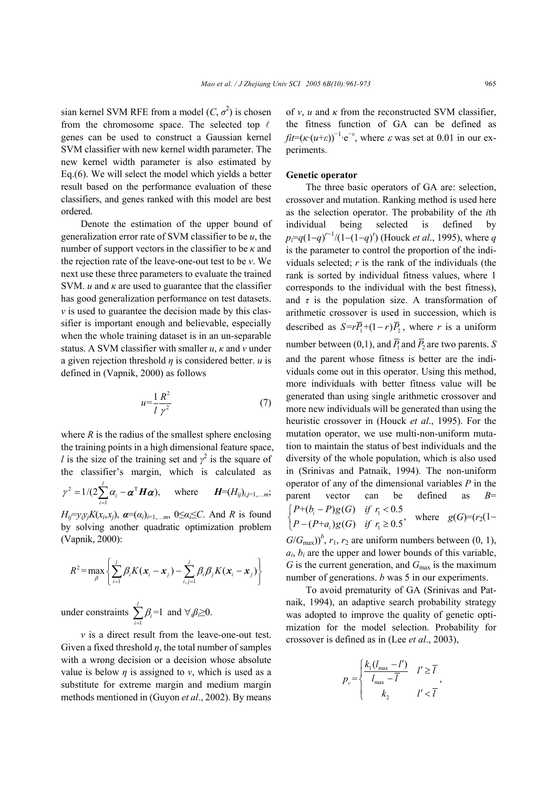sian kernel SVM RFE from a model  $(C, \sigma^2)$  is chosen from the chromosome space. The selected top  $\ell$ genes can be used to construct a Gaussian kernel SVM classifier with new kernel width parameter. The new kernel width parameter is also estimated by Eq.(6). We will select the model which yields a better result based on the performance evaluation of these classifiers, and genes ranked with this model are best ordered.

Denote the estimation of the upper bound of generalization error rate of SVM classifier to be *u*, the number of support vectors in the classifier to be *κ* and the rejection rate of the leave-one-out test to be *ν*. We next use these three parameters to evaluate the trained SVM.  $u$  and  $\kappa$  are used to guarantee that the classifier has good generalization performance on test datasets. *v* is used to guarantee the decision made by this classifier is important enough and believable, especially when the whole training dataset is in an un-separable status. A SVM classifier with smaller *u*, *κ* and *ν* under a given rejection threshold *η* is considered better. *u* is defined in (Vapnik, 2000) as follows

$$
u = \frac{1}{l} \frac{R^2}{\gamma^2} \tag{7}
$$

where  $R$  is the radius of the smallest sphere enclosing the training points in a high dimensional feature space, *l* is the size of the training set and  $\gamma^2$  is the square of the classifier's margin, which is calculated as

$$
\gamma^2 = 1/(2\sum_{i=1}^l \alpha_i - \boldsymbol{\alpha}^{\mathrm{T}} \boldsymbol{H} \boldsymbol{\alpha}), \quad \text{where} \quad \boldsymbol{H}=(H_{ij})_{i,j=1,\ldots,m};
$$

*H*<sub>ij</sub>= $y_i y_j K(x_i, x_j)$ ,  $\boldsymbol{\alpha} = (\alpha_i)_{i=1,...,m}$ ,  $0 \leq \alpha_i \leq C$ . And *R* is found by solving another quadratic optimization problem (Vapnik, 2000):

$$
R^2 = \max_{\beta} \left\{ \sum_{i=1}^l \beta_i K(\boldsymbol{x}_i - \boldsymbol{x}_j) - \sum_{i,j=1}^l \beta_i \beta_j K(\boldsymbol{x}_i - \boldsymbol{x}_j) \right\}
$$

under constraints  $\sum_{i=1}^{l} \beta_i = 1$  $\sum_{i=1}$  $P_i$  $\beta_i$  $\sum_{i=1}$   $\beta_i = 1$  and  $\forall_i \beta_i \ge 0$ .

*ν* is a direct result from the leave-one-out test. Given a fixed threshold  $\eta$ , the total number of samples with a wrong decision or a decision whose absolute value is below *η* is assigned to *ν*, which is used as a substitute for extreme margin and medium margin methods mentioned in (Guyon *et al*., 2002). By means of *ν*, *u* and *κ* from the reconstructed SVM classifier, the fitness function of GA can be defined as  $\hat{f}$ *i*=( $\kappa$ ·( $u$ + $\varepsilon$ ))<sup>-1</sup>·e<sup>-*ν*</sup>, where  $\varepsilon$  was set at 0.01 in our experiments.

#### **Genetic operator**

The three basic operators of GA are: selection, crossover and mutation. Ranking method is used here as the selection operator. The probability of the *i*th individual being selected is defined by *p*<sub>*i*</sub>= $q(1-q)^{r-1}/(1-(1-q)^r)$  (Houck *et al.*, 1995), where *q* is the parameter to control the proportion of the individuals selected; *r* is the rank of the individuals (the rank is sorted by individual fitness values, where 1 corresponds to the individual with the best fitness), and  $\tau$  is the population size. A transformation of arithmetic crossover is used in succession, which is described as  $S = r\overline{P}_1 + (1 - r)\overline{P}_2$ , where *r* is a uniform number between (0,1), and  $\overline{P}_1$  and  $\overline{P}_2$  are two parents. *S* and the parent whose fitness is better are the individuals come out in this operator. Using this method, more individuals with better fitness value will be generated than using single arithmetic crossover and more new individuals will be generated than using the heuristic crossover in (Houck *et al*., 1995). For the mutation operator, we use multi-non-uniform mutation to maintain the status of best individuals and the diversity of the whole population, which is also used in (Srinivas and Patnaik, 1994). The non-uniform operator of any of the dimensional variables *P* in the parent vector can be defined as *B*=  $\int P+(b_i-P)g(G)$  if  $r_i <$  $\begin{cases} P+(b_i-P)g(G) & \text{if } r_i < 0.5 \\ P-(P+a_i)g(G) & \text{if } r_i \geq 0.5 \end{cases}$ where  $g(G)=(r_2(1-$ 

 $G/G_{\text{max}})$ <sup>b</sup>,  $r_1$ ,  $r_2$  are uniform numbers between (0, 1),  $a_i$ ,  $b_i$  are the upper and lower bounds of this variable,  $G$  is the current generation, and  $G_{\text{max}}$  is the maximum number of generations. *b* was 5 in our experiments.

To avoid prematurity of GA (Srinivas and Patnaik, 1994), an adaptive search probability strategy was adopted to improve the quality of genetic optimization for the model selection. Probability for crossover is defined as in (Lee *et al*., 2003),

$$
p_c = \begin{cases} \frac{k_1 (l_{\text{max}} - l')}{l_{\text{max}} - \overline{l}} & l' \ge \overline{l} \\ k_2 & l' < \overline{l} \end{cases}
$$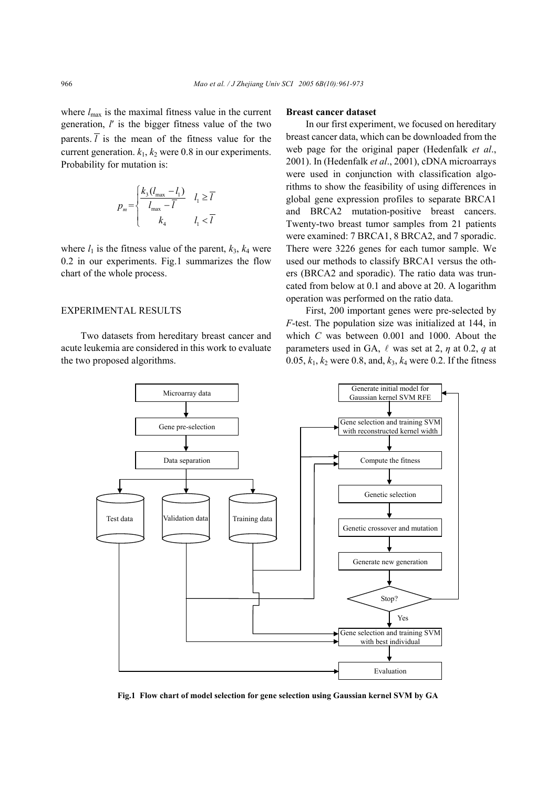where  $l_{\text{max}}$  is the maximal fitness value in the current generation, *l*′ is the bigger fitness value of the two parents.  $\overline{l}$  is the mean of the fitness value for the current generation.  $k_1$ ,  $k_2$  were 0.8 in our experiments. Probability for mutation is:

$$
p_m = \begin{cases} \frac{k_3 (l_{\text{max}} - l_1)}{l_{\text{max}} - \overline{l}} & l_1 \ge \overline{l} \\ k_4 & l_1 < \overline{l} \end{cases}
$$

where  $l_1$  is the fitness value of the parent,  $k_3$ ,  $k_4$  were 0.2 in our experiments. Fig.1 summarizes the flow chart of the whole process.

#### EXPERIMENTAL RESULTS

Two datasets from hereditary breast cancer and acute leukemia are considered in this work to evaluate the two proposed algorithms.

#### **Breast cancer dataset**

In our first experiment, we focused on hereditary breast cancer data, which can be downloaded from the web page for the original paper (Hedenfalk *et al*., 2001). In (Hedenfalk *et al*., 2001), cDNA microarrays were used in conjunction with classification algorithms to show the feasibility of using differences in global gene expression profiles to separate BRCA1 and BRCA2 mutation-positive breast cancers. Twenty-two breast tumor samples from 21 patients were examined: 7 BRCA1, 8 BRCA2, and 7 sporadic. There were 3226 genes for each tumor sample. We used our methods to classify BRCA1 versus the others (BRCA2 and sporadic). The ratio data was truncated from below at 0.1 and above at 20. A logarithm operation was performed on the ratio data.

First, 200 important genes were pre-selected by *F*-test. The population size was initialized at 144, in which *C* was between 0.001 and 1000. About the parameters used in GA,  $\ell$  was set at 2,  $\eta$  at 0.2,  $q$  at 0.05, *k*1, *k*2 were 0.8, and, *k*3, *k*4 were 0.2. If the fitness



**Fig.1 Flow chart of model selection for gene selection using Gaussian kernel SVM by GA**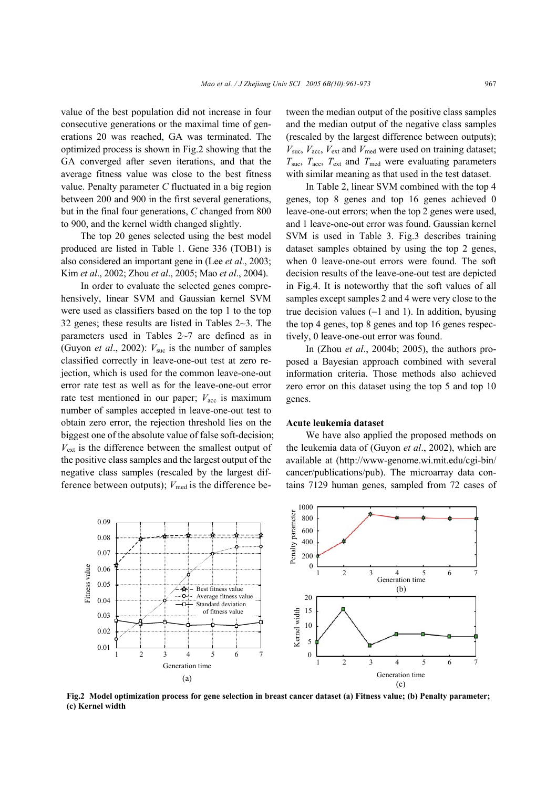value of the best population did not increase in four consecutive generations or the maximal time of generations 20 was reached, GA was terminated. The optimized process is shown in Fig.2 showing that the GA converged after seven iterations, and that the average fitness value was close to the best fitness value. Penalty parameter *C* fluctuated in a big region between 200 and 900 in the first several generations, but in the final four generations, *C* changed from 800 to 900, and the kernel width changed slightly.

The top 20 genes selected using the best model produced are listed in Table 1. Gene 336 (TOB1) is also considered an important gene in (Lee *et al*., 2003; Kim *et al*., 2002; Zhou *et al*., 2005; Mao *et al*., 2004).

In order to evaluate the selected genes comprehensively, linear SVM and Gaussian kernel SVM were used as classifiers based on the top 1 to the top 32 genes; these results are listed in Tables 2~3. The parameters used in Tables 2~7 are defined as in (Guyon *et al.*, 2002):  $V_{\text{succ}}$  is the number of samples classified correctly in leave-one-out test at zero rejection, which is used for the common leave-one-out error rate test as well as for the leave-one-out error rate test mentioned in our paper;  $V_{\text{acc}}$  is maximum number of samples accepted in leave-one-out test to obtain zero error, the rejection threshold lies on the biggest one of the absolute value of false soft-decision;  $V_{ext}$  is the difference between the smallest output of the positive class samples and the largest output of the negative class samples (rescaled by the largest difference between outputs);  $V_{\text{med}}$  is the difference between the median output of the positive class samples and the median output of the negative class samples (rescaled by the largest difference between outputs);  $V_{\text{succ}}$ ,  $V_{\text{acc}}$ ,  $V_{\text{ext}}$  and  $V_{\text{med}}$  were used on training dataset;  $T_{\text{succ}}$ ,  $T_{\text{acc}}$ ,  $T_{\text{ext}}$  and  $T_{\text{med}}$  were evaluating parameters with similar meaning as that used in the test dataset.

In Table 2, linear SVM combined with the top 4 genes, top 8 genes and top 16 genes achieved 0 leave-one-out errors; when the top 2 genes were used, and 1 leave-one-out error was found. Gaussian kernel SVM is used in Table 3. Fig.3 describes training dataset samples obtained by using the top 2 genes, when 0 leave-one-out errors were found. The soft decision results of the leave-one-out test are depicted in Fig.4. It is noteworthy that the soft values of all samples except samples 2 and 4 were very close to the true decision values (−1 and 1). In addition, byusing the top 4 genes, top 8 genes and top 16 genes respectively, 0 leave-one-out error was found.

In (Zhou *et al*., 2004b; 2005), the authors proposed a Bayesian approach combined with several information criteria. Those methods also achieved zero error on this dataset using the top 5 and top 10 genes.

#### **Acute leukemia dataset**

We have also applied the proposed methods on the leukemia data of (Guyon *et al*., 2002), which are available at (http://www-genome.wi.mit.edu/cgi-bin/ cancer/publications/pub). The microarray data contains 7129 human genes, sampled from 72 cases of



**Fig.2 Model optimization process for gene selection in breast cancer dataset (a) Fitness value; (b) Penalty parameter; (c) Kernel width**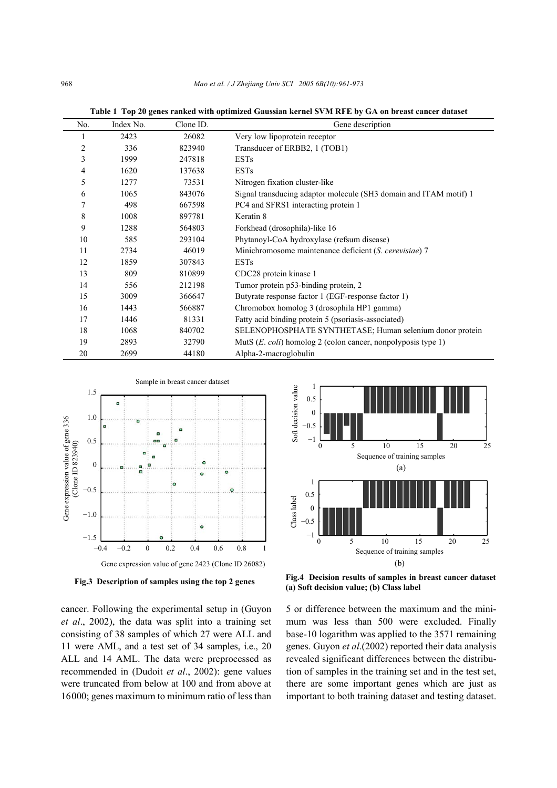| No. | Index No. | Clone ID. | Gene description                                                     |
|-----|-----------|-----------|----------------------------------------------------------------------|
|     | 2423      | 26082     | Very low lipoprotein receptor                                        |
| 2   | 336       | 823940    | Transducer of ERBB2, 1 (TOB1)                                        |
| 3   | 1999      | 247818    | <b>ESTs</b>                                                          |
| 4   | 1620      | 137638    | <b>ESTs</b>                                                          |
| 5   | 1277      | 73531     | Nitrogen fixation cluster-like                                       |
| 6   | 1065      | 843076    | Signal transducing adaptor molecule (SH3 domain and ITAM motif) 1    |
| 7   | 498       | 667598    | PC4 and SFRS1 interacting protein 1                                  |
| 8   | 1008      | 897781    | Keratin 8                                                            |
| 9   | 1288      | 564803    | Forkhead (drosophila)-like 16                                        |
| 10  | 585       | 293104    | Phytanoyl-CoA hydroxylase (refsum disease)                           |
| 11  | 2734      | 46019     | Minichromosome maintenance deficient (S. cerevisiae) 7               |
| 12  | 1859      | 307843    | <b>ESTs</b>                                                          |
| 13  | 809       | 810899    | CDC28 protein kinase 1                                               |
| 14  | 556       | 212198    | Tumor protein p53-binding protein, 2                                 |
| 15  | 3009      | 366647    | Butyrate response factor 1 (EGF-response factor 1)                   |
| 16  | 1443      | 566887    | Chromobox homolog 3 (drosophila HP1 gamma)                           |
| 17  | 1446      | 81331     | Fatty acid binding protein 5 (psoriasis-associated)                  |
| 18  | 1068      | 840702    | SELENOPHOSPHATE SYNTHETASE; Human selenium donor protein             |
| 19  | 2893      | 32790     | MutS $(E.\text{coli})$ homolog 2 (colon cancer, nonpolyposis type 1) |
| 20  | 2699      | 44180     | Alpha-2-macroglobulin                                                |

**Table 1 Top 20 genes ranked with optimized Gaussian kernel SVM RFE by GA on breast cancer dataset** 



**Fig.3 Description of samples using the top 2 genes** 

cancer. Following the experimental setup in (Guyon *et al*., 2002), the data was split into a training set consisting of 38 samples of which 27 were ALL and 11 were AML, and a test set of 34 samples, i.e., 20 ALL and 14 AML. The data were preprocessed as recommended in (Dudoit *et al*., 2002): gene values were truncated from below at 100 and from above at 16000; genes maximum to minimum ratio of less than



**Fig.4 Decision results of samples in breast cancer dataset (a) Soft decision value; (b) Class label** 

5 or difference between the maximum and the minimum was less than 500 were excluded. Finally base-10 logarithm was applied to the 3571 remaining genes. Guyon *et al*.(2002) reported their data analysis revealed significant differences between the distribution of samples in the training set and in the test set, there are some important genes which are just as important to both training dataset and testing dataset.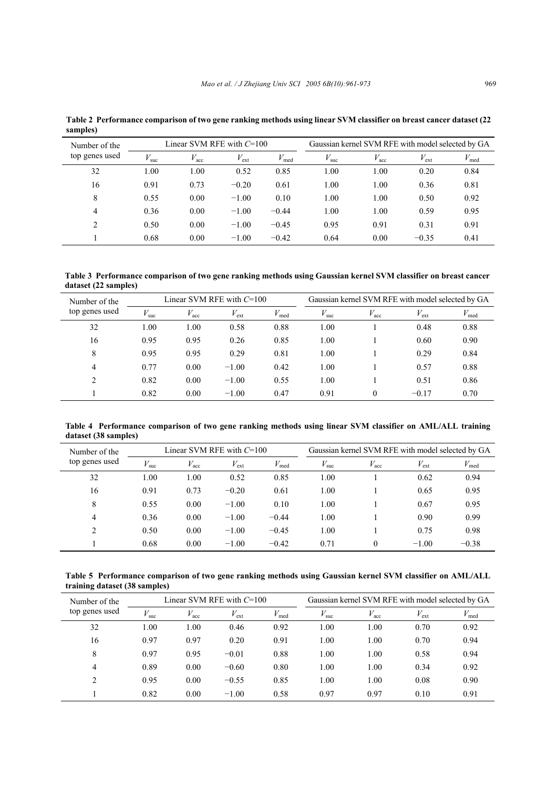| Number of the  |               | Linear SVM RFE with $C=100$ |               |                  | Gaussian kernel SVM RFE with model selected by GA |                  |               |                  |
|----------------|---------------|-----------------------------|---------------|------------------|---------------------------------------------------|------------------|---------------|------------------|
| top genes used | $V_{\rm suc}$ | $V_{\text{acc}}$            | $V_{\rm ext}$ | $V_{\text{med}}$ | $V_{\rm suc}$                                     | $V_{\text{acc}}$ | $V_{\rm ext}$ | $V_{\text{med}}$ |
| 32             | 1.00          | 0.00                        | 0.52          | 0.85             | 1.00                                              | 1.00             | 0.20          | 0.84             |
| 16             | 0.91          | 0.73                        | $-0.20$       | 0.61             | 1.00                                              | 1.00             | 0.36          | 0.81             |
| 8              | 0.55          | 0.00                        | $-1.00$       | 0.10             | 1.00                                              | 1.00             | 0.50          | 0.92             |
| 4              | 0.36          | 0.00                        | $-1.00$       | $-0.44$          | 1.00                                              | 1.00             | 0.59          | 0.95             |
| 2              | 0.50          | 0.00                        | $-1.00$       | $-0.45$          | 0.95                                              | 0.91             | 0.31          | 0.91             |
|                | 0.68          | 0.00                        | $-1.00$       | $-0.42$          | 0.64                                              | 0.00             | $-0.35$       | 0.41             |

**Table 2 Performance comparison of two gene ranking methods using linear SVM classifier on breast cancer dataset (22 samples)** 

**Table 3 Performance comparison of two gene ranking methods using Gaussian kernel SVM classifier on breast cancer dataset (22 samples)** 

| Number of the  |               |                  | Linear SVM RFE with $C=100$ |                  | Gaussian kernel SVM RFE with model selected by GA |                  |                  |                  |  |
|----------------|---------------|------------------|-----------------------------|------------------|---------------------------------------------------|------------------|------------------|------------------|--|
| top genes used | $V_{\rm suc}$ | $V_{\text{acc}}$ | $V_{\rm ext}$               | $V_{\text{med}}$ | $V_{\rm suc}$                                     | $V_{\text{acc}}$ | $V_{\text{ext}}$ | $V_{\text{med}}$ |  |
| 32             | 1.00          | 1.00             | 0.58                        | 0.88             | 1.00                                              |                  | 0.48             | 0.88             |  |
| 16             | 0.95          | 0.95             | 0.26                        | 0.85             | 1.00                                              |                  | 0.60             | 0.90             |  |
| 8              | 0.95          | 0.95             | 0.29                        | 0.81             | 1.00                                              |                  | 0.29             | 0.84             |  |
| 4              | 0.77          | 0.00             | $-1.00$                     | 0.42             | 1.00                                              |                  | 0.57             | 0.88             |  |
| $\mathfrak{D}$ | 0.82          | 0.00             | $-1.00$                     | 0.55             | 1.00                                              |                  | 0.51             | 0.86             |  |
|                | 0.82          | 0.00             | $-1.00$                     | 0.47             | 0.91                                              | 0                | $-0.17$          | 0.70             |  |

**Table 4 Performance comparison of two gene ranking methods using linear SVM classifier on AML/ALL training dataset (38 samples)** 

| Number of the  |               |                  | Linear SVM RFE with $C=100$ |                  | Gaussian kernel SVM RFE with model selected by GA |                  |               |                  |
|----------------|---------------|------------------|-----------------------------|------------------|---------------------------------------------------|------------------|---------------|------------------|
| top genes used | $V_{\rm suc}$ | $V_{\text{acc}}$ | $V_{\rm ext}$               | $V_{\text{med}}$ | $V_{\rm suc}$                                     | $V_{\text{acc}}$ | $V_{\rm ext}$ | $V_{\text{med}}$ |
| 32             | 1.00          | 1.00             | 0.52                        | 0.85             | 1.00                                              |                  | 0.62          | 0.94             |
| 16             | 0.91          | 0.73             | $-0.20$                     | 0.61             | 1.00                                              |                  | 0.65          | 0.95             |
| 8              | 0.55          | 0.00             | $-1.00$                     | 0.10             | 1.00                                              |                  | 0.67          | 0.95             |
| 4              | 0.36          | 0.00             | $-1.00$                     | $-0.44$          | 1.00                                              |                  | 0.90          | 0.99             |
| 2              | 0.50          | 0.00             | $-1.00$                     | $-0.45$          | 1.00                                              |                  | 0.75          | 0.98             |
|                | 0.68          | 0.00             | $-1.00$                     | $-0.42$          | 0.71                                              | 0                | $-1.00$       | $-0.38$          |

**Table 5 Performance comparison of two gene ranking methods using Gaussian kernel SVM classifier on AML/ALL training dataset (38 samples)** 

| Number of the  |               |                  | Linear SVM RFE with $C=100$ |                  | Gaussian kernel SVM RFE with model selected by GA |                  |                  |                  |
|----------------|---------------|------------------|-----------------------------|------------------|---------------------------------------------------|------------------|------------------|------------------|
| top genes used | $V_{\rm suc}$ | $V_{\text{acc}}$ | $V_{\rm ext}$               | $V_{\text{med}}$ | $V_{\rm suc}$                                     | $V_{\text{acc}}$ | $V_{\text{ext}}$ | $V_{\text{med}}$ |
| 32             | 1.00          | 1.00             | 0.46                        | 0.92             | 1.00                                              | 1.00             | 0.70             | 0.92             |
| 16             | 0.97          | 0.97             | 0.20                        | 0.91             | 1.00                                              | 1.00             | 0.70             | 0.94             |
| 8              | 0.97          | 0.95             | $-0.01$                     | 0.88             | 1.00                                              | 1.00             | 0.58             | 0.94             |
| 4              | 0.89          | 0.00             | $-0.60$                     | 0.80             | 1.00                                              | 1.00             | 0.34             | 0.92             |
| $\overline{c}$ | 0.95          | 0.00             | $-0.55$                     | 0.85             | 1.00                                              | 1.00             | 0.08             | 0.90             |
|                | 0.82          | 0.00             | $-1.00$                     | 0.58             | 0.97                                              | 0.97             | 0.10             | 0.91             |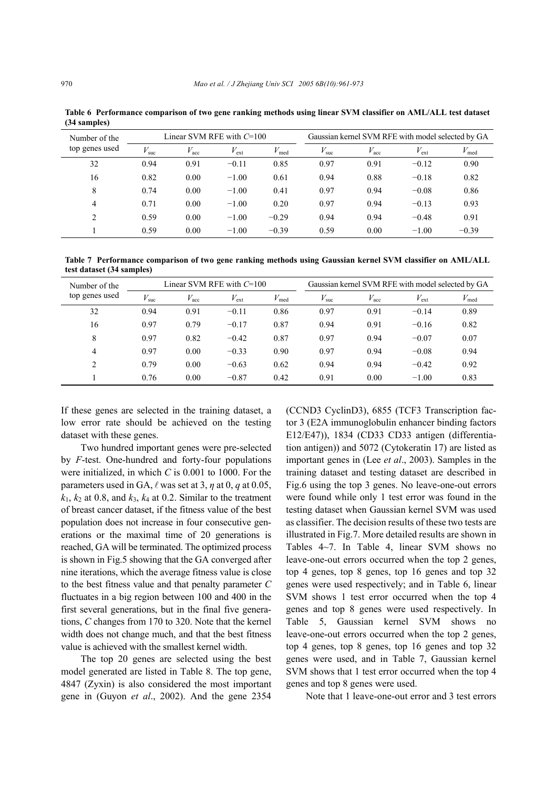| Number of the                 |               |                  | Linear SVM RFE with $C=100$ |                  | Gaussian kernel SVM RFE with model selected by GA |                  |               |                  |
|-------------------------------|---------------|------------------|-----------------------------|------------------|---------------------------------------------------|------------------|---------------|------------------|
| top genes used                | $V_{\rm suc}$ | $V_{\text{acc}}$ | $V_{\rm ext}$               | $V_{\text{med}}$ | $V_{\rm suc}$                                     | $V_{\text{acc}}$ | $V_{\rm ext}$ | $V_{\text{med}}$ |
| 32                            | 0.94          | 0.91             | $-0.11$                     | 0.85             | 0.97                                              | 0.91             | $-0.12$       | 0.90             |
| 16                            | 0.82          | 0.00             | $-1.00$                     | 0.61             | 0.94                                              | 0.88             | $-0.18$       | 0.82             |
| 8                             | 0.74          | 0.00             | $-1.00$                     | 0.41             | 0.97                                              | 0.94             | $-0.08$       | 0.86             |
| $\overline{4}$                | 0.71          | 0.00             | $-1.00$                     | 0.20             | 0.97                                              | 0.94             | $-0.13$       | 0.93             |
| $\mathfrak{D}_{\mathfrak{p}}$ | 0.59          | 0.00             | $-1.00$                     | $-0.29$          | 0.94                                              | 0.94             | $-0.48$       | 0.91             |
|                               | 0.59          | 0.00             | $-1.00$                     | $-0.39$          | 0.59                                              | 0.00             | $-1.00$       | $-0.39$          |

**Table 6 Performance comparison of two gene ranking methods using linear SVM classifier on AML/ALL test dataset (34 samples)** 

**Table 7 Performance comparison of two gene ranking methods using Gaussian kernel SVM classifier on AML/ALL test dataset (34 samples)** 

| Number of the  |               |                  | Linear SVM RFE with $C=100$ |                  | Gaussian kernel SVM RFE with model selected by GA |                  |               |                  |
|----------------|---------------|------------------|-----------------------------|------------------|---------------------------------------------------|------------------|---------------|------------------|
| top genes used | $V_{\rm suc}$ | $V_{\text{acc}}$ | $V_{\rm ext}$               | $V_{\text{med}}$ | $V_{\rm suc}$                                     | $V_{\text{acc}}$ | $V_{\rm ext}$ | $V_{\text{med}}$ |
| 32             | 0.94          | 0.91             | $-0.11$                     | 0.86             | 0.97                                              | 0.91             | $-0.14$       | 0.89             |
| 16             | 0.97          | 0.79             | $-0.17$                     | 0.87             | 0.94                                              | 0.91             | $-0.16$       | 0.82             |
| 8              | 0.97          | 0.82             | $-0.42$                     | 0.87             | 0.97                                              | 0.94             | $-0.07$       | 0.07             |
| 4              | 0.97          | 0.00             | $-0.33$                     | 0.90             | 0.97                                              | 0.94             | $-0.08$       | 0.94             |
| $\overline{c}$ | 0.79          | 0.00             | $-0.63$                     | 0.62             | 0.94                                              | 0.94             | $-0.42$       | 0.92             |
|                | 0.76          | 0.00             | $-0.87$                     | 0.42             | 0.91                                              | 0.00             | $-1.00$       | 0.83             |

If these genes are selected in the training dataset, a low error rate should be achieved on the testing dataset with these genes.

Two hundred important genes were pre-selected by *F*-test. One-hundred and forty-four populations were initialized, in which *C* is 0.001 to 1000. For the parameters used in GA,  $\ell$  was set at 3,  $\eta$  at 0,  $q$  at 0.05,  $k_1$ ,  $k_2$  at 0.8, and  $k_3$ ,  $k_4$  at 0.2. Similar to the treatment of breast cancer dataset, if the fitness value of the best population does not increase in four consecutive generations or the maximal time of 20 generations is reached, GA will be terminated. The optimized process is shown in Fig.5 showing that the GA converged after nine iterations, which the average fitness value is close to the best fitness value and that penalty parameter *C* fluctuates in a big region between 100 and 400 in the first several generations, but in the final five generations, *C* changes from 170 to 320. Note that the kernel width does not change much, and that the best fitness value is achieved with the smallest kernel width.

The top 20 genes are selected using the best model generated are listed in Table 8. The top gene, 4847 (Zyxin) is also considered the most important gene in (Guyon *et al*., 2002). And the gene 2354

(CCND3 CyclinD3), 6855 (TCF3 Transcription factor 3 (E2A immunoglobulin enhancer binding factors E12/E47)), 1834 (CD33 CD33 antigen (differentiation antigen)) and 5072 (Cytokeratin 17) are listed as important genes in (Lee *et al*., 2003). Samples in the training dataset and testing dataset are described in Fig.6 using the top 3 genes. No leave-one-out errors were found while only 1 test error was found in the testing dataset when Gaussian kernel SVM was used as classifier. The decision results of these two tests are illustrated in Fig.7. More detailed results are shown in Tables 4~7. In Table 4, linear SVM shows no leave-one-out errors occurred when the top 2 genes, top 4 genes, top 8 genes, top 16 genes and top 32 genes were used respectively; and in Table 6, linear SVM shows 1 test error occurred when the top 4 genes and top 8 genes were used respectively. In Table 5, Gaussian kernel SVM shows no leave-one-out errors occurred when the top 2 genes, top 4 genes, top 8 genes, top 16 genes and top 32 genes were used, and in Table 7, Gaussian kernel SVM shows that 1 test error occurred when the top 4 genes and top 8 genes were used.

Note that 1 leave-one-out error and 3 test errors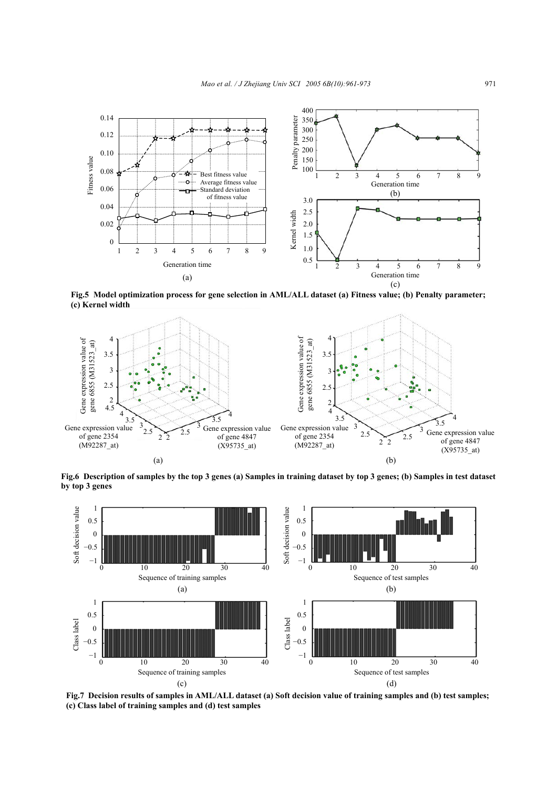

**Fig.5 Model optimization process for gene selection in AML/ALL dataset (a) Fitness value; (b) Penalty parameter; (c) Kernel width** 



**Fig.6 Description of samples by the top 3 genes (a) Samples in training dataset by top 3 genes; (b) Samples in test dataset by top 3 genes** 



**Fig.7 Decision results of samples in AML/ALL dataset (a) Soft decision value of training samples and (b) test samples; (c) Class label of training samples and (d) test samples**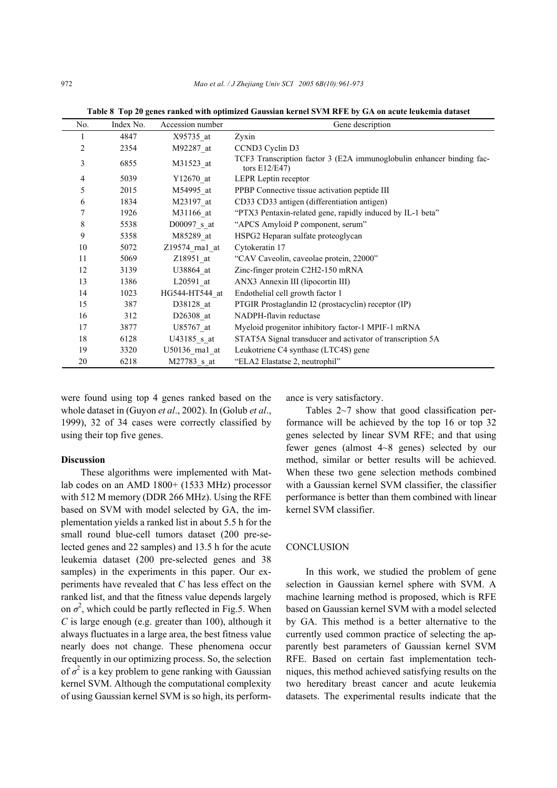| No.            | Index No. | Accession number | Gene description                                                                        |
|----------------|-----------|------------------|-----------------------------------------------------------------------------------------|
|                | 4847      | X95735 at        | Zyxin                                                                                   |
| 2              | 2354      | M92287 at        | CCND3 Cyclin D3                                                                         |
| 3              | 6855      | M31523 at        | TCF3 Transcription factor 3 (E2A immunoglobulin enhancer binding fac-<br>tors $E12/E47$ |
| $\overline{4}$ | 5039      | Y12670 at        | LEPR Leptin receptor                                                                    |
| 5              | 2015      | M54995 at        | PPBP Connective tissue activation peptide III                                           |
| 6              | 1834      | M23197 at        | CD33 CD33 antigen (differentiation antigen)                                             |
|                | 1926      | M31166 at        | "PTX3 Pentaxin-related gene, rapidly induced by IL-1 beta"                              |
| 8              | 5538      | D00097 s at      | "APCS Amyloid P component, serum"                                                       |
| 9              | 5358      | M85289 at        | HSPG2 Heparan sulfate proteoglycan                                                      |
| 10             | 5072      | $Z19574$ rnal at | Cytokeratin 17                                                                          |
| 11             | 5069      | Z18951 at        | "CAV Caveolin, caveolae protein, 22000"                                                 |
| 12             | 3139      | U38864 at        | Zinc-finger protein C2H2-150 mRNA                                                       |
| 13             | 1386      | $L20591$ at      | ANX3 Annexin III (lipocortin III)                                                       |
| 14             | 1023      | HG544-HT544 at   | Endothelial cell growth factor 1                                                        |
| 15             | 387       | D38128 at        | PTGIR Prostaglandin I2 (prostacyclin) receptor (IP)                                     |
| 16             | 312       | D26308 at        | NADPH-flavin reductase                                                                  |
| 17             | 3877      | U85767 at        | Myeloid progenitor inhibitory factor-1 MPIF-1 mRNA                                      |
| 18             | 6128      | U43185 s at      | STAT5A Signal transducer and activator of transcription 5A                              |
| 19             | 3320      | U50136 rna1 at   | Leukotriene C4 synthase (LTC4S) gene                                                    |
| 20             | 6218      | M27783 s at      | "ELA2 Elastatse 2, neutrophil"                                                          |

**Table 8 Top 20 genes ranked with optimized Gaussian kernel SVM RFE by GA on acute leukemia dataset** 

were found using top 4 genes ranked based on the whole dataset in (Guyon *et al*., 2002). In (Golub *et al*., 1999), 32 of 34 cases were correctly classified by using their top five genes.

#### **Discussion**

These algorithms were implemented with Matlab codes on an AMD 1800+ (1533 MHz) processor with 512 M memory (DDR 266 MHz). Using the RFE based on SVM with model selected by GA, the implementation yields a ranked list in about 5.5 h for the small round blue-cell tumors dataset (200 pre-selected genes and 22 samples) and 13.5 h for the acute leukemia dataset (200 pre-selected genes and 38 samples) in the experiments in this paper. Our experiments have revealed that *C* has less effect on the ranked list, and that the fitness value depends largely on  $\sigma^2$ , which could be partly reflected in Fig.5. When *C* is large enough (e.g. greater than 100), although it always fluctuates in a large area, the best fitness value nearly does not change. These phenomena occur frequently in our optimizing process. So, the selection of  $\sigma^2$  is a key problem to gene ranking with Gaussian kernel SVM. Although the computational complexity of using Gaussian kernel SVM is so high, its performance is very satisfactory.

Tables 2~7 show that good classification performance will be achieved by the top 16 or top 32 genes selected by linear SVM RFE; and that using fewer genes (almost 4~8 genes) selected by our method, similar or better results will be achieved. When these two gene selection methods combined with a Gaussian kernel SVM classifier, the classifier performance is better than them combined with linear kernel SVM classifier.

# **CONCLUSION**

In this work, we studied the problem of gene selection in Gaussian kernel sphere with SVM. A machine learning method is proposed, which is RFE based on Gaussian kernel SVM with a model selected by GA. This method is a better alternative to the currently used common practice of selecting the apparently best parameters of Gaussian kernel SVM RFE. Based on certain fast implementation techniques, this method achieved satisfying results on the two hereditary breast cancer and acute leukemia datasets. The experimental results indicate that the